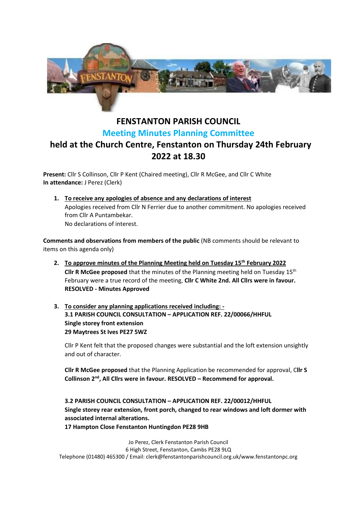

## **FENSTANTON PARISH COUNCIL Meeting Minutes Planning Committee held at the Church Centre, Fenstanton on Thursday 24th February 2022 at 18.30**

**Present:** Cllr S Collinson, Cllr P Kent (Chaired meeting), Cllr R McGee, and Cllr C White **In attendance:** J Perez (Clerk)

**1. To receive any apologies of absence and any declarations of interest** Apologies received from Cllr N Ferrier due to another commitment. No apologies received from Cllr A Puntambekar. No declarations of interest.

**Comments and observations from members of the public** (NB comments should be relevant to items on this agenda only)

- **2. To approve minutes of the Planning Meeting held on Tuesday 15th February 2022 Cllr R McGee proposed** that the minutes of the Planning meeting held on Tuesday 15th February were a true record of the meeting, **Cllr C White 2nd. All Cllrs were in favour. RESOLVED - Minutes Approved**
- **3. To consider any planning applications received including: - 3.1 PARISH COUNCIL CONSULTATION – APPLICATION REF. 22/00066/HHFUL Single storey front extension 29 Maytrees St Ives PE27 5WZ**

Cllr P Kent felt that the proposed changes were substantial and the loft extension unsightly and out of character.

**Cllr R McGee proposed** that the Planning Application be recommended for approval, C**llr S**  Collinson 2<sup>nd</sup>, All Cllrs were in favour. RESOLVED – Recommend for approval.

**3.2 PARISH COUNCIL CONSULTATION – APPLICATION REF. 22/00012/HHFUL Single storey rear extension, front porch, changed to rear windows and loft dormer with associated internal alterations. 17 Hampton Close Fenstanton Huntingdon PE28 9HB**

Jo Perez, Clerk Fenstanton Parish Council 6 High Street, Fenstanton, Cambs PE28 9LQ Telephone (01480) 465300 / Email: clerk@fenstantonparishcouncil.org.uk/www.fenstantonpc.org